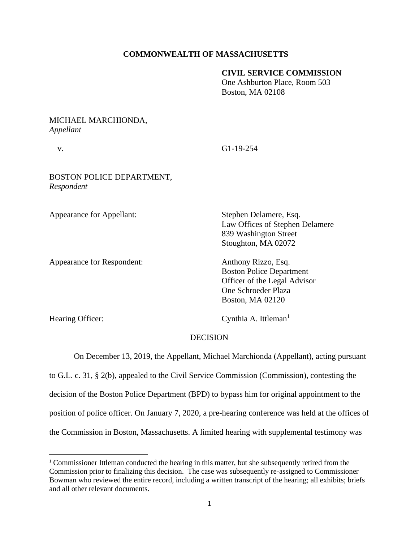# **COMMONWEALTH OF MASSACHUSETTS**

### **CIVIL SERVICE COMMISSION**

One Ashburton Place, Room 503 Boston, MA 02108

### MICHAEL MARCHIONDA, *Appellant*

v. G1-19-254

# BOSTON POLICE DEPARTMENT, *Respondent*

Appearance for Appellant: Stephen Delamere, Esq.

Appearance for Respondent: Anthony Rizzo, Esq.

Law Offices of Stephen Delamere 839 Washington Street Stoughton, MA 02072

Boston Police Department Officer of the Legal Advisor One Schroeder Plaza Boston, MA 02120

Hearing Officer: Cynthia A. Ittleman<sup>1</sup>

### DECISION

On December 13, 2019, the Appellant, Michael Marchionda (Appellant), acting pursuant

to G.L. c. 31, § 2(b), appealed to the Civil Service Commission (Commission), contesting the

decision of the Boston Police Department (BPD) to bypass him for original appointment to the

position of police officer. On January 7, 2020, a pre-hearing conference was held at the offices of

the Commission in Boston, Massachusetts. A limited hearing with supplemental testimony was

<sup>1</sup> Commissioner Ittleman conducted the hearing in this matter, but she subsequently retired from the Commission prior to finalizing this decision. The case was subsequently re-assigned to Commissioner Bowman who reviewed the entire record, including a written transcript of the hearing; all exhibits; briefs and all other relevant documents.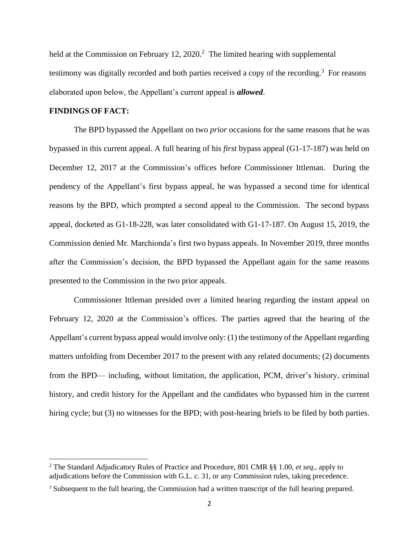held at the Commission on February 12, 2020.<sup>2</sup> The limited hearing with supplemental testimony was digitally recorded and both parties received a copy of the recording.<sup>3</sup> For reasons elaborated upon below, the Appellant's current appeal is *allowed*.

### **FINDINGS OF FACT:**

 The BPD bypassed the Appellant on two *prior* occasions for the same reasons that he was bypassed in this current appeal. A full hearing of his *first* bypass appeal (G1-17-187) was held on December 12, 2017 at the Commission's offices before Commissioner Ittleman. During the pendency of the Appellant's first bypass appeal, he was bypassed a second time for identical reasons by the BPD, which prompted a second appeal to the Commission. The second bypass appeal, docketed as G1-18-228, was later consolidated with G1-17-187. On August 15, 2019, the Commission denied Mr. Marchionda's first two bypass appeals. In November 2019, three months after the Commission's decision, the BPD bypassed the Appellant again for the same reasons presented to the Commission in the two prior appeals.

Commissioner Ittleman presided over a limited hearing regarding the instant appeal on February 12, 2020 at the Commission's offices. The parties agreed that the hearing of the Appellant's current bypass appeal would involve only: (1) the testimony of the Appellant regarding matters unfolding from December 2017 to the present with any related documents; (2) documents from the BPD— including, without limitation, the application, PCM, driver's history, criminal history, and credit history for the Appellant and the candidates who bypassed him in the current hiring cycle; but (3) no witnesses for the BPD; with post-hearing briefs to be filed by both parties.

<sup>2</sup> The Standard Adjudicatory Rules of Practice and Procedure, 801 CMR §§ 1.00, *et seq.*, apply to adjudications before the Commission with G.L. c. 31, or any Commission rules, taking precedence.

<sup>&</sup>lt;sup>3</sup> Subsequent to the full hearing, the Commission had a written transcript of the full hearing prepared.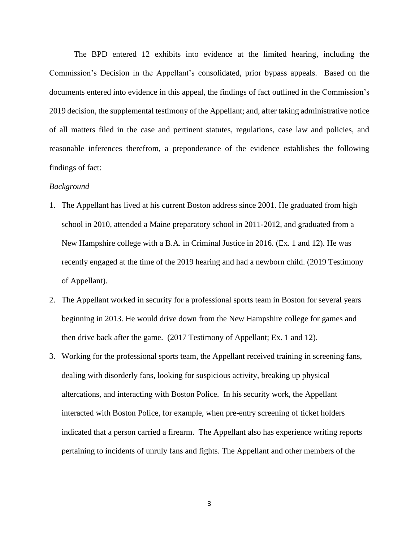The BPD entered 12 exhibits into evidence at the limited hearing, including the Commission's Decision in the Appellant's consolidated, prior bypass appeals. Based on the documents entered into evidence in this appeal, the findings of fact outlined in the Commission's 2019 decision, the supplemental testimony of the Appellant; and, after taking administrative notice of all matters filed in the case and pertinent statutes, regulations, case law and policies, and reasonable inferences therefrom, a preponderance of the evidence establishes the following findings of fact:

### *Background*

- 1. The Appellant has lived at his current Boston address since 2001. He graduated from high school in 2010, attended a Maine preparatory school in 2011-2012, and graduated from a New Hampshire college with a B.A. in Criminal Justice in 2016. (Ex. 1 and 12). He was recently engaged at the time of the 2019 hearing and had a newborn child. (2019 Testimony of Appellant).
- 2. The Appellant worked in security for a professional sports team in Boston for several years beginning in 2013. He would drive down from the New Hampshire college for games and then drive back after the game. (2017 Testimony of Appellant; Ex. 1 and 12).
- 3. Working for the professional sports team, the Appellant received training in screening fans, dealing with disorderly fans, looking for suspicious activity, breaking up physical altercations, and interacting with Boston Police. In his security work, the Appellant interacted with Boston Police, for example, when pre-entry screening of ticket holders indicated that a person carried a firearm. The Appellant also has experience writing reports pertaining to incidents of unruly fans and fights. The Appellant and other members of the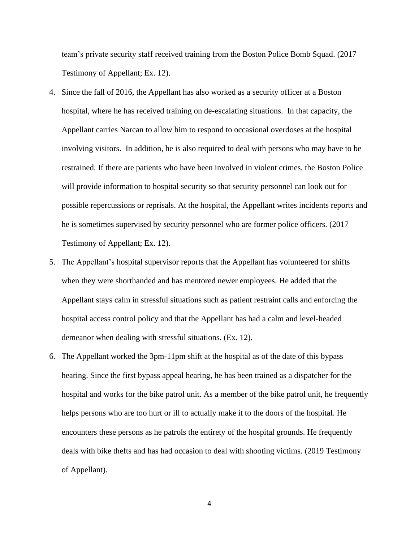team's private security staff received training from the Boston Police Bomb Squad. (2017 Testimony of Appellant; Ex. 12).

- 4. Since the fall of 2016, the Appellant has also worked as a security officer at a Boston hospital, where he has received training on de-escalating situations. In that capacity, the Appellant carries Narcan to allow him to respond to occasional overdoses at the hospital involving visitors. In addition, he is also required to deal with persons who may have to be restrained. If there are patients who have been involved in violent crimes, the Boston Police will provide information to hospital security so that security personnel can look out for possible repercussions or reprisals. At the hospital, the Appellant writes incidents reports and he is sometimes supervised by security personnel who are former police officers. (2017 Testimony of Appellant; Ex. 12).
- 5. The Appellant's hospital supervisor reports that the Appellant has volunteered for shifts when they were shorthanded and has mentored newer employees. He added that the Appellant stays calm in stressful situations such as patient restraint calls and enforcing the hospital access control policy and that the Appellant has had a calm and level-headed demeanor when dealing with stressful situations. (Ex. 12).
- 6. The Appellant worked the 3pm-11pm shift at the hospital as of the date of this bypass hearing. Since the first bypass appeal hearing, he has been trained as a dispatcher for the hospital and works for the bike patrol unit. As a member of the bike patrol unit, he frequently helps persons who are too hurt or ill to actually make it to the doors of the hospital. He encounters these persons as he patrols the entirety of the hospital grounds. He frequently deals with bike thefts and has had occasion to deal with shooting victims. (2019 Testimony of Appellant).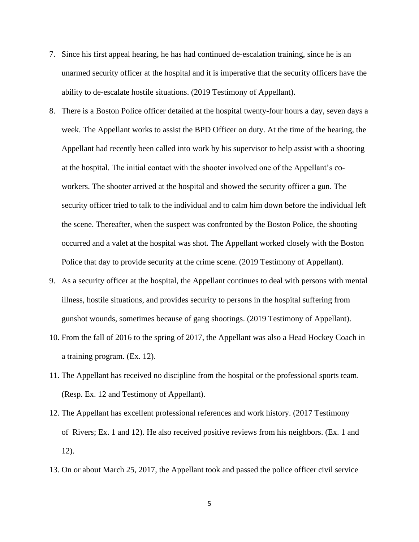- 7. Since his first appeal hearing, he has had continued de-escalation training, since he is an unarmed security officer at the hospital and it is imperative that the security officers have the ability to de-escalate hostile situations. (2019 Testimony of Appellant).
- 8. There is a Boston Police officer detailed at the hospital twenty-four hours a day, seven days a week. The Appellant works to assist the BPD Officer on duty. At the time of the hearing, the Appellant had recently been called into work by his supervisor to help assist with a shooting at the hospital. The initial contact with the shooter involved one of the Appellant's coworkers. The shooter arrived at the hospital and showed the security officer a gun. The security officer tried to talk to the individual and to calm him down before the individual left the scene. Thereafter, when the suspect was confronted by the Boston Police, the shooting occurred and a valet at the hospital was shot. The Appellant worked closely with the Boston Police that day to provide security at the crime scene. (2019 Testimony of Appellant).
- 9. As a security officer at the hospital, the Appellant continues to deal with persons with mental illness, hostile situations, and provides security to persons in the hospital suffering from gunshot wounds, sometimes because of gang shootings. (2019 Testimony of Appellant).
- 10. From the fall of 2016 to the spring of 2017, the Appellant was also a Head Hockey Coach in a training program. (Ex. 12).
- 11. The Appellant has received no discipline from the hospital or the professional sports team. (Resp. Ex. 12 and Testimony of Appellant).
- 12. The Appellant has excellent professional references and work history. (2017 Testimony of Rivers; Ex. 1 and 12). He also received positive reviews from his neighbors. (Ex. 1 and 12).
- 13. On or about March 25, 2017, the Appellant took and passed the police officer civil service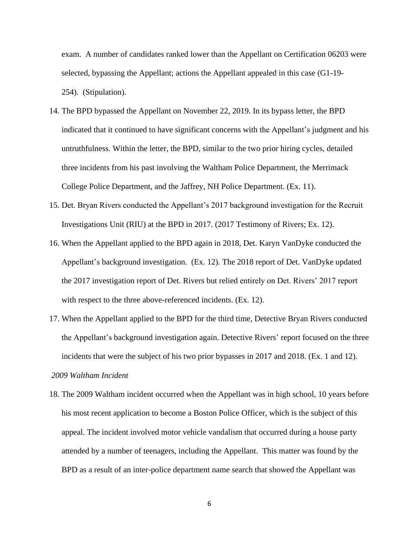exam. A number of candidates ranked lower than the Appellant on Certification 06203 were selected, bypassing the Appellant; actions the Appellant appealed in this case (G1-19- 254). (Stipulation).

- 14. The BPD bypassed the Appellant on November 22, 2019. In its bypass letter, the BPD indicated that it continued to have significant concerns with the Appellant's judgment and his untruthfulness. Within the letter, the BPD, similar to the two prior hiring cycles, detailed three incidents from his past involving the Waltham Police Department, the Merrimack College Police Department, and the Jaffrey, NH Police Department. (Ex. 11).
- 15. Det. Bryan Rivers conducted the Appellant's 2017 background investigation for the Recruit Investigations Unit (RIU) at the BPD in 2017. (2017 Testimony of Rivers; Ex. 12).
- 16. When the Appellant applied to the BPD again in 2018, Det. Karyn VanDyke conducted the Appellant's background investigation. (Ex. 12). The 2018 report of Det. VanDyke updated the 2017 investigation report of Det. Rivers but relied entirely on Det. Rivers' 2017 report with respect to the three above-referenced incidents. (Ex. 12).
- 17. When the Appellant applied to the BPD for the third time, Detective Bryan Rivers conducted the Appellant's background investigation again. Detective Rivers' report focused on the three incidents that were the subject of his two prior bypasses in 2017 and 2018. (Ex. 1 and 12).

#### *2009 Waltham Incident*

18. The 2009 Waltham incident occurred when the Appellant was in high school, 10 years before his most recent application to become a Boston Police Officer, which is the subject of this appeal. The incident involved motor vehicle vandalism that occurred during a house party attended by a number of teenagers, including the Appellant. This matter was found by the BPD as a result of an inter-police department name search that showed the Appellant was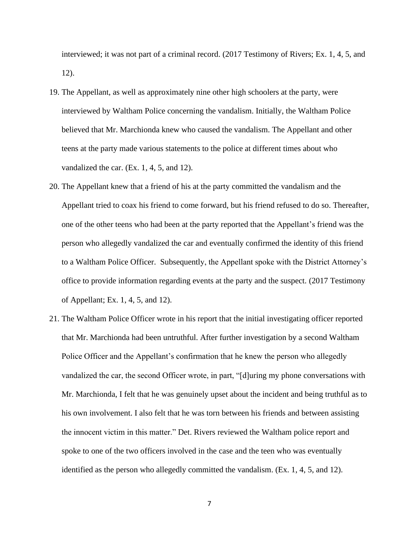interviewed; it was not part of a criminal record. (2017 Testimony of Rivers; Ex. 1, 4, 5, and 12).

- 19. The Appellant, as well as approximately nine other high schoolers at the party, were interviewed by Waltham Police concerning the vandalism. Initially, the Waltham Police believed that Mr. Marchionda knew who caused the vandalism. The Appellant and other teens at the party made various statements to the police at different times about who vandalized the car. (Ex. 1, 4, 5, and 12).
- 20. The Appellant knew that a friend of his at the party committed the vandalism and the Appellant tried to coax his friend to come forward, but his friend refused to do so. Thereafter, one of the other teens who had been at the party reported that the Appellant's friend was the person who allegedly vandalized the car and eventually confirmed the identity of this friend to a Waltham Police Officer. Subsequently, the Appellant spoke with the District Attorney's office to provide information regarding events at the party and the suspect. (2017 Testimony of Appellant; Ex. 1, 4, 5, and 12).
- 21. The Waltham Police Officer wrote in his report that the initial investigating officer reported that Mr. Marchionda had been untruthful. After further investigation by a second Waltham Police Officer and the Appellant's confirmation that he knew the person who allegedly vandalized the car, the second Officer wrote, in part, "[d]uring my phone conversations with Mr. Marchionda, I felt that he was genuinely upset about the incident and being truthful as to his own involvement. I also felt that he was torn between his friends and between assisting the innocent victim in this matter." Det. Rivers reviewed the Waltham police report and spoke to one of the two officers involved in the case and the teen who was eventually identified as the person who allegedly committed the vandalism. (Ex. 1, 4, 5, and 12).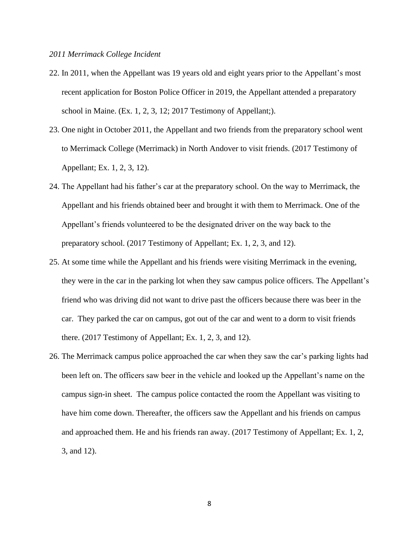#### *2011 Merrimack College Incident*

- 22. In 2011, when the Appellant was 19 years old and eight years prior to the Appellant's most recent application for Boston Police Officer in 2019, the Appellant attended a preparatory school in Maine. (Ex. 1, 2, 3, 12; 2017 Testimony of Appellant;).
- 23. One night in October 2011, the Appellant and two friends from the preparatory school went to Merrimack College (Merrimack) in North Andover to visit friends. (2017 Testimony of Appellant; Ex. 1, 2, 3, 12).
- 24. The Appellant had his father's car at the preparatory school. On the way to Merrimack, the Appellant and his friends obtained beer and brought it with them to Merrimack. One of the Appellant's friends volunteered to be the designated driver on the way back to the preparatory school. (2017 Testimony of Appellant; Ex. 1, 2, 3, and 12).
- 25. At some time while the Appellant and his friends were visiting Merrimack in the evening, they were in the car in the parking lot when they saw campus police officers. The Appellant's friend who was driving did not want to drive past the officers because there was beer in the car. They parked the car on campus, got out of the car and went to a dorm to visit friends there. (2017 Testimony of Appellant; Ex. 1, 2, 3, and 12).
- 26. The Merrimack campus police approached the car when they saw the car's parking lights had been left on. The officers saw beer in the vehicle and looked up the Appellant's name on the campus sign-in sheet. The campus police contacted the room the Appellant was visiting to have him come down. Thereafter, the officers saw the Appellant and his friends on campus and approached them. He and his friends ran away. (2017 Testimony of Appellant; Ex. 1, 2, 3, and 12).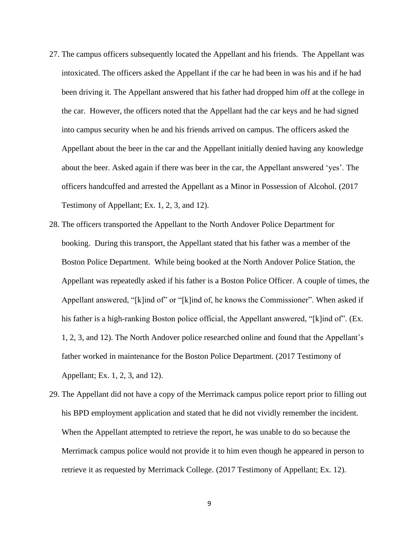- 27. The campus officers subsequently located the Appellant and his friends. The Appellant was intoxicated. The officers asked the Appellant if the car he had been in was his and if he had been driving it. The Appellant answered that his father had dropped him off at the college in the car. However, the officers noted that the Appellant had the car keys and he had signed into campus security when he and his friends arrived on campus. The officers asked the Appellant about the beer in the car and the Appellant initially denied having any knowledge about the beer. Asked again if there was beer in the car, the Appellant answered 'yes'. The officers handcuffed and arrested the Appellant as a Minor in Possession of Alcohol. (2017 Testimony of Appellant; Ex. 1, 2, 3, and 12).
- 28. The officers transported the Appellant to the North Andover Police Department for booking. During this transport, the Appellant stated that his father was a member of the Boston Police Department. While being booked at the North Andover Police Station, the Appellant was repeatedly asked if his father is a Boston Police Officer. A couple of times, the Appellant answered, "[k]ind of" or "[k]ind of, he knows the Commissioner". When asked if his father is a high-ranking Boston police official, the Appellant answered, "[k]ind of". (Ex. 1, 2, 3, and 12). The North Andover police researched online and found that the Appellant's father worked in maintenance for the Boston Police Department. (2017 Testimony of Appellant; Ex. 1, 2, 3, and 12).
- 29. The Appellant did not have a copy of the Merrimack campus police report prior to filling out his BPD employment application and stated that he did not vividly remember the incident. When the Appellant attempted to retrieve the report, he was unable to do so because the Merrimack campus police would not provide it to him even though he appeared in person to retrieve it as requested by Merrimack College. (2017 Testimony of Appellant; Ex. 12).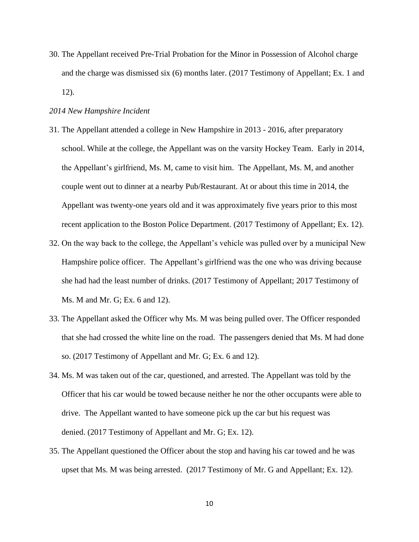30. The Appellant received Pre-Trial Probation for the Minor in Possession of Alcohol charge and the charge was dismissed six (6) months later. (2017 Testimony of Appellant; Ex. 1 and 12).

## *2014 New Hampshire Incident*

- 31. The Appellant attended a college in New Hampshire in 2013 2016, after preparatory school. While at the college, the Appellant was on the varsity Hockey Team. Early in 2014, the Appellant's girlfriend, Ms. M, came to visit him. The Appellant, Ms. M, and another couple went out to dinner at a nearby Pub/Restaurant. At or about this time in 2014, the Appellant was twenty-one years old and it was approximately five years prior to this most recent application to the Boston Police Department. (2017 Testimony of Appellant; Ex. 12).
- 32. On the way back to the college, the Appellant's vehicle was pulled over by a municipal New Hampshire police officer. The Appellant's girlfriend was the one who was driving because she had had the least number of drinks. (2017 Testimony of Appellant; 2017 Testimony of Ms. M and Mr. G; Ex. 6 and 12).
- 33. The Appellant asked the Officer why Ms. M was being pulled over. The Officer responded that she had crossed the white line on the road. The passengers denied that Ms. M had done so. (2017 Testimony of Appellant and Mr. G; Ex. 6 and 12).
- 34. Ms. M was taken out of the car, questioned, and arrested. The Appellant was told by the Officer that his car would be towed because neither he nor the other occupants were able to drive. The Appellant wanted to have someone pick up the car but his request was denied. (2017 Testimony of Appellant and Mr. G; Ex. 12).
- 35. The Appellant questioned the Officer about the stop and having his car towed and he was upset that Ms. M was being arrested. (2017 Testimony of Mr. G and Appellant; Ex. 12).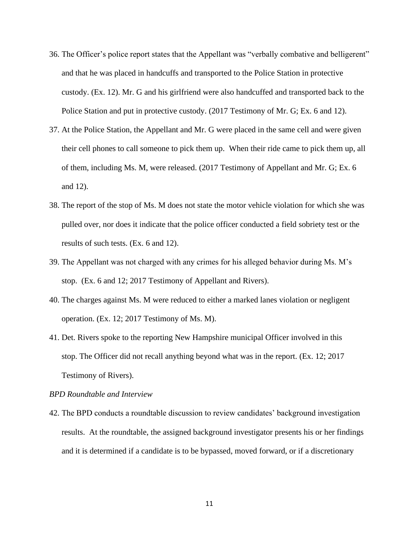- 36. The Officer's police report states that the Appellant was "verbally combative and belligerent" and that he was placed in handcuffs and transported to the Police Station in protective custody. (Ex. 12). Mr. G and his girlfriend were also handcuffed and transported back to the Police Station and put in protective custody. (2017 Testimony of Mr. G; Ex. 6 and 12).
- 37. At the Police Station, the Appellant and Mr. G were placed in the same cell and were given their cell phones to call someone to pick them up. When their ride came to pick them up, all of them, including Ms. M, were released. (2017 Testimony of Appellant and Mr. G; Ex. 6 and 12).
- 38. The report of the stop of Ms. M does not state the motor vehicle violation for which she was pulled over, nor does it indicate that the police officer conducted a field sobriety test or the results of such tests. (Ex. 6 and 12).
- 39. The Appellant was not charged with any crimes for his alleged behavior during Ms. M's stop. (Ex. 6 and 12; 2017 Testimony of Appellant and Rivers).
- 40. The charges against Ms. M were reduced to either a marked lanes violation or negligent operation. (Ex. 12; 2017 Testimony of Ms. M).
- 41. Det. Rivers spoke to the reporting New Hampshire municipal Officer involved in this stop. The Officer did not recall anything beyond what was in the report. (Ex. 12; 2017 Testimony of Rivers).

#### *BPD Roundtable and Interview*

42. The BPD conducts a roundtable discussion to review candidates' background investigation results. At the roundtable, the assigned background investigator presents his or her findings and it is determined if a candidate is to be bypassed, moved forward, or if a discretionary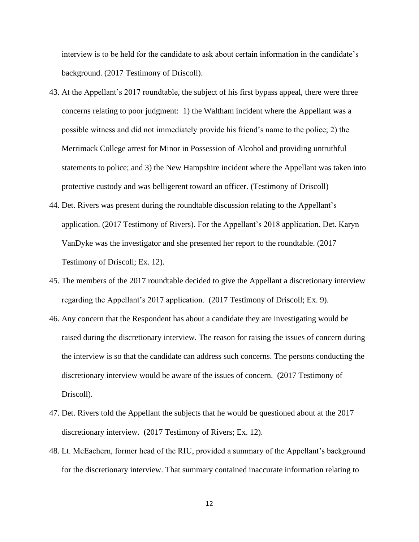interview is to be held for the candidate to ask about certain information in the candidate's background. (2017 Testimony of Driscoll).

- 43. At the Appellant's 2017 roundtable, the subject of his first bypass appeal, there were three concerns relating to poor judgment: 1) the Waltham incident where the Appellant was a possible witness and did not immediately provide his friend's name to the police; 2) the Merrimack College arrest for Minor in Possession of Alcohol and providing untruthful statements to police; and 3) the New Hampshire incident where the Appellant was taken into protective custody and was belligerent toward an officer. (Testimony of Driscoll)
- 44. Det. Rivers was present during the roundtable discussion relating to the Appellant's application. (2017 Testimony of Rivers). For the Appellant's 2018 application, Det. Karyn VanDyke was the investigator and she presented her report to the roundtable. (2017 Testimony of Driscoll; Ex. 12).
- 45. The members of the 2017 roundtable decided to give the Appellant a discretionary interview regarding the Appellant's 2017 application. (2017 Testimony of Driscoll; Ex. 9).
- 46. Any concern that the Respondent has about a candidate they are investigating would be raised during the discretionary interview. The reason for raising the issues of concern during the interview is so that the candidate can address such concerns. The persons conducting the discretionary interview would be aware of the issues of concern. (2017 Testimony of Driscoll).
- 47. Det. Rivers told the Appellant the subjects that he would be questioned about at the 2017 discretionary interview. (2017 Testimony of Rivers; Ex. 12).
- 48. Lt. McEachern, former head of the RIU, provided a summary of the Appellant's background for the discretionary interview. That summary contained inaccurate information relating to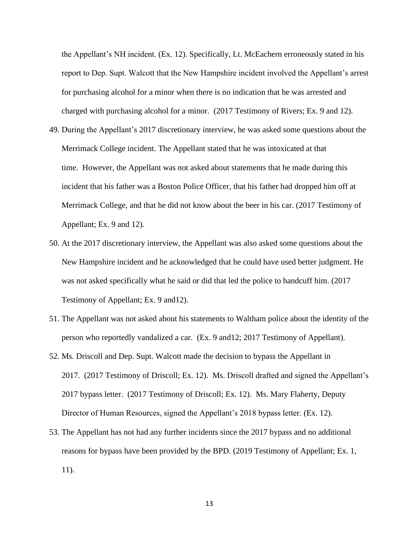the Appellant's NH incident. (Ex. 12). Specifically, Lt. McEachern erroneously stated in his report to Dep. Supt. Walcott that the New Hampshire incident involved the Appellant's arrest for purchasing alcohol for a minor when there is no indication that he was arrested and charged with purchasing alcohol for a minor. (2017 Testimony of Rivers; Ex. 9 and 12).

- 49. During the Appellant's 2017 discretionary interview, he was asked some questions about the Merrimack College incident. The Appellant stated that he was intoxicated at that time. However, the Appellant was not asked about statements that he made during this incident that his father was a Boston Police Officer, that his father had dropped him off at Merrimack College, and that he did not know about the beer in his car. (2017 Testimony of Appellant; Ex. 9 and 12).
- 50. At the 2017 discretionary interview, the Appellant was also asked some questions about the New Hampshire incident and he acknowledged that he could have used better judgment. He was not asked specifically what he said or did that led the police to handcuff him. (2017 Testimony of Appellant; Ex. 9 and12).
- 51. The Appellant was not asked about his statements to Waltham police about the identity of the person who reportedly vandalized a car. (Ex. 9 and12; 2017 Testimony of Appellant).
- 52. Ms. Driscoll and Dep. Supt. Walcott made the decision to bypass the Appellant in 2017. (2017 Testimony of Driscoll; Ex. 12). Ms. Driscoll drafted and signed the Appellant's 2017 bypass letter. (2017 Testimony of Driscoll; Ex. 12). Ms. Mary Flaherty, Deputy Director of Human Resources, signed the Appellant's 2018 bypass letter. (Ex. 12).
- 53. The Appellant has not had any further incidents since the 2017 bypass and no additional reasons for bypass have been provided by the BPD. (2019 Testimony of Appellant; Ex. 1, 11).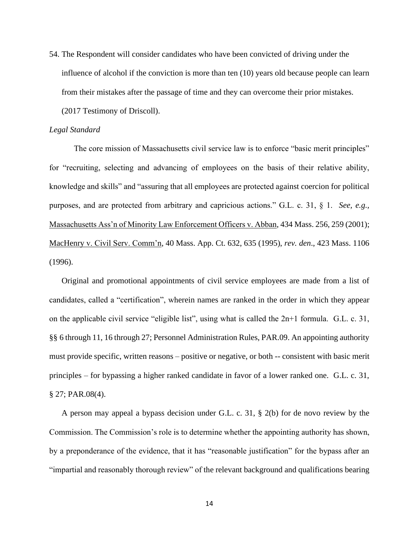54. The Respondent will consider candidates who have been convicted of driving under the influence of alcohol if the conviction is more than ten (10) years old because people can learn from their mistakes after the passage of time and they can overcome their prior mistakes. (2017 Testimony of Driscoll).

#### *Legal Standard*

The core mission of Massachusetts civil service law is to enforce "basic merit principles" for "recruiting, selecting and advancing of employees on the basis of their relative ability, knowledge and skills" and "assuring that all employees are protected against coercion for political purposes, and are protected from arbitrary and capricious actions." G.L. c. 31, § 1. *See, e.g.,* Massachusetts Ass'n of Minority Law Enforcement Officers v. Abban, 434 Mass. 256, 259 (2001); MacHenry v. Civil Serv. Comm'n, 40 Mass. App. Ct. 632, 635 (1995), *rev. den*., 423 Mass. 1106 (1996).

Original and promotional appointments of civil service employees are made from a list of candidates, called a "certification", wherein names are ranked in the order in which they appear on the applicable civil service "eligible list", using what is called the 2n+1 formula. G.L. c. 31, §§ 6 through 11, 16 through 27; Personnel Administration Rules, PAR.09. An appointing authority must provide specific, written reasons – positive or negative, or both -- consistent with basic merit principles – for bypassing a higher ranked candidate in favor of a lower ranked one. G.L. c. 31, § 27; PAR.08(4).

A person may appeal a bypass decision under G.L. c. 31, § 2(b) for de novo review by the Commission. The Commission's role is to determine whether the appointing authority has shown, by a preponderance of the evidence, that it has "reasonable justification" for the bypass after an "impartial and reasonably thorough review" of the relevant background and qualifications bearing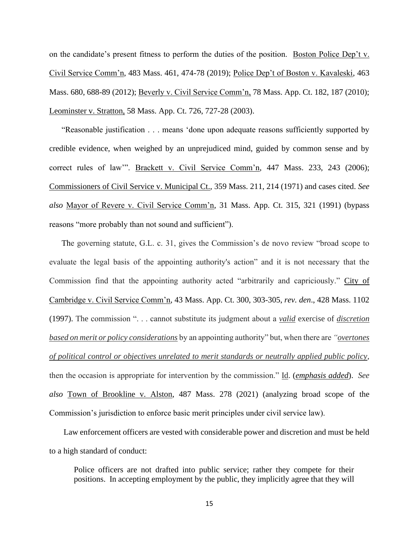on the candidate's present fitness to perform the duties of the position. Boston Police Dep't v. Civil Service Comm'n, 483 Mass. 461, 474-78 (2019); Police Dep't of Boston v. Kavaleski, 463 Mass. 680, 688-89 (2012); Beverly v. Civil Service Comm'n, 78 Mass. App. Ct. 182, 187 (2010); Leominster v. Stratton, 58 Mass. App. Ct. 726, 727-28 (2003).

"Reasonable justification . . . means 'done upon adequate reasons sufficiently supported by credible evidence, when weighed by an unprejudiced mind, guided by common sense and by correct rules of law'". Brackett v. Civil Service Comm'n, 447 Mass. 233, 243 (2006); Commissioners of Civil Service v. Municipal Ct., 359 Mass. 211, 214 (1971) and cases cited. *See also* Mayor of Revere v. Civil Service Comm'n, 31 Mass. App. Ct. 315, 321 (1991) (bypass reasons "more probably than not sound and sufficient").

The governing statute, G.L. c. 31, gives the Commission's de novo review "broad scope to evaluate the legal basis of the appointing authority's action" and it is not necessary that the Commission find that the appointing authority acted "arbitrarily and capriciously." City of Cambridge v. Civil Service Comm'n, 43 Mass. App. Ct. 300, 303-305, *rev. den*., 428 Mass. 1102 (1997). The commission ". . . cannot substitute its judgment about a *valid* exercise of *discretion based on merit or policy considerations* by an appointing authority" but, when there are *"overtones of political control or objectives unrelated to merit standards or neutrally applied public policy*, then the occasion is appropriate for intervention by the commission." Id. (*emphasis added*). *See also* Town of Brookline v. Alston, 487 Mass. 278 (2021) (analyzing broad scope of the Commission's jurisdiction to enforce basic merit principles under civil service law).

 Law enforcement officers are vested with considerable power and discretion and must be held to a high standard of conduct:

Police officers are not drafted into public service; rather they compete for their positions. In accepting employment by the public, they implicitly agree that they will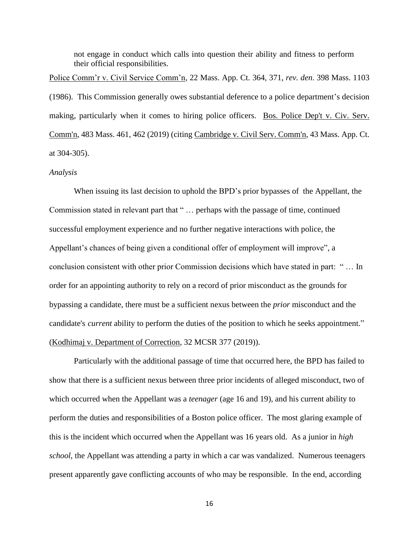not engage in conduct which calls into question their ability and fitness to perform their official responsibilities.

Police Comm'r v. Civil Service Comm'n, 22 Mass. App. Ct. 364, 371, *rev. den*. 398 Mass. 1103 (1986). This Commission generally owes substantial deference to a police department's decision making, particularly when it comes to hiring police officers. Bos. Police Dep't v. Civ. Serv. Comm'n, 483 Mass. 461, 462 (2019) (citing Cambridge v. Civil Serv. Comm'n, 43 Mass. App. Ct. at 304-305).

#### *Analysis*

When issuing its last decision to uphold the BPD's prior bypasses of the Appellant, the Commission stated in relevant part that " … perhaps with the passage of time, continued successful employment experience and no further negative interactions with police, the Appellant's chances of being given a conditional offer of employment will improve", a conclusion consistent with other prior Commission decisions which have stated in part: " … In order for an appointing authority to rely on a record of prior misconduct as the grounds for bypassing a candidate, there must be a sufficient nexus between the *prior* misconduct and the candidate's *[c](https://research.socialaw.com/document.php?id=csc:csc20a-36&type=hitlist&num=1#hit7)urrent* ability to perform the duties of the position to which he seeks appointment." (Kodhimaj v. Department of Correction, 32 MCSR 377 (2019)).

Particularly with the additional passage of time that occurred here, the BPD has failed to show that there is a sufficient nexus between three prior incidents of alleged misconduct, two of which occurred when the Appellant was a *teenager* (age 16 and 19), and his current ability to perform the duties and responsibilities of a Boston police officer. The most glaring example of this is the incident which occurred when the Appellant was 16 years old. As a junior in *high school*, the Appellant was attending a party in which a car was vandalized. Numerous teenagers present apparently gave conflicting accounts of who may be responsible. In the end, according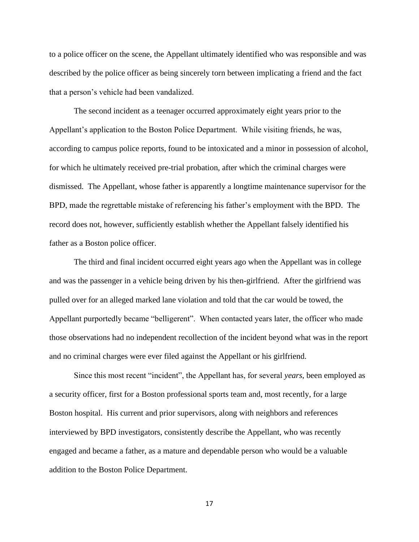to a police officer on the scene, the Appellant ultimately identified who was responsible and was described by the police officer as being sincerely torn between implicating a friend and the fact that a person's vehicle had been vandalized.

The second incident as a teenager occurred approximately eight years prior to the Appellant's application to the Boston Police Department. While visiting friends, he was, according to campus police reports, found to be intoxicated and a minor in possession of alcohol, for which he ultimately received pre-trial probation, after which the criminal charges were dismissed. The Appellant, whose father is apparently a longtime maintenance supervisor for the BPD, made the regrettable mistake of referencing his father's employment with the BPD. The record does not, however, sufficiently establish whether the Appellant falsely identified his father as a Boston police officer.

The third and final incident occurred eight years ago when the Appellant was in college and was the passenger in a vehicle being driven by his then-girlfriend. After the girlfriend was pulled over for an alleged marked lane violation and told that the car would be towed, the Appellant purportedly became "belligerent". When contacted years later, the officer who made those observations had no independent recollection of the incident beyond what was in the report and no criminal charges were ever filed against the Appellant or his girlfriend.

Since this most recent "incident", the Appellant has, for several *years*, been employed as a security officer, first for a Boston professional sports team and, most recently, for a large Boston hospital. His current and prior supervisors, along with neighbors and references interviewed by BPD investigators, consistently describe the Appellant, who was recently engaged and became a father, as a mature and dependable person who would be a valuable addition to the Boston Police Department.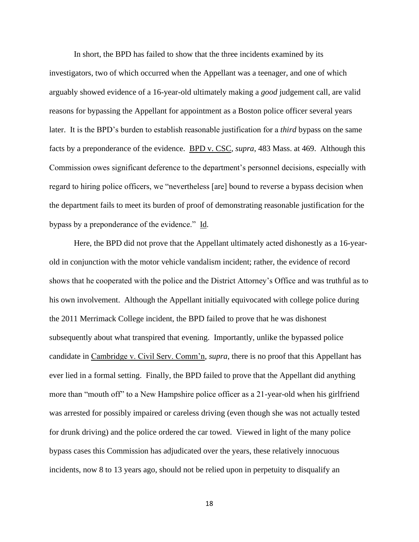In short, the BPD has failed to show that the three incidents examined by its investigators, two of which occurred when the Appellant was a teenager, and one of which arguably showed evidence of a 16-year-old ultimately making a *good* judgement call, are valid reasons for bypassing the Appellant for appointment as a Boston police officer several years later. It is the BPD's burden to establish reasonable justification for a *third* bypass on the same facts by a preponderance of the evidence. BPD v. CSC, *supra*, 483 Mass. at 469. Although this Commission owes significant deference to the department's personnel decisions, especially with regard to hiring police officers, we "nevertheless [are] bound to reverse a bypass decision when the department fails to meet its burden of proof of demonstrating reasonable justification for the bypass by a preponderance of the evidence." Id.

Here, the BPD did not prove that the Appellant ultimately acted dishonestly as a 16-yearold in conjunction with the motor vehicle vandalism incident; rather, the evidence of record shows that he cooperated with the police and the District Attorney's Office and was truthful as to his own involvement. Although the Appellant initially equivocated with college police during the 2011 Merrimack College incident, the BPD failed to prove that he was dishonest subsequently about what transpired that evening. Importantly, unlike the bypassed police candidate in Cambridge v. Civil Serv. Comm'n, *supra*, there is no proof that this Appellant has ever lied in a formal setting. Finally, the BPD failed to prove that the Appellant did anything more than "mouth off" to a New Hampshire police officer as a 21-year-old when his girlfriend was arrested for possibly impaired or careless driving (even though she was not actually tested for drunk driving) and the police ordered the car towed. Viewed in light of the many police bypass cases this Commission has adjudicated over the years, these relatively innocuous incidents, now 8 to 13 years ago, should not be relied upon in perpetuity to disqualify an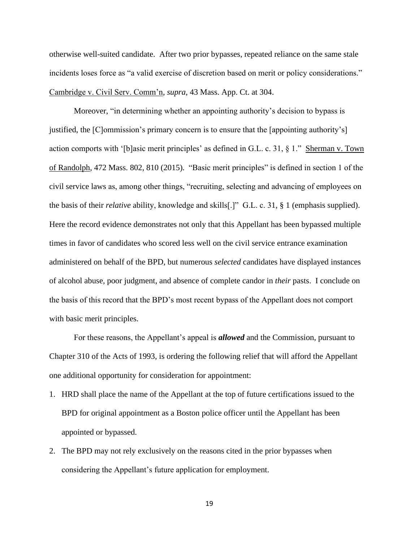otherwise well-suited candidate. After two prior bypasses, repeated reliance on the same stale incidents loses force as "a valid exercise of discretion based on merit or policy considerations." Cambridge v. Civil Serv. Comm'n, *supra*, 43 Mass. App. Ct. at 304.

Moreover, "in determining whether an appointing authority's decision to bypass is justified, the [C]ommission's primary concern is to ensure that the [appointing authority's] action comports with '[b]asic merit principles' as defined in G.L. c. 31, § 1." Sherman v. Town of Randolph, 472 Mass. 802, 810 (2015). "Basic merit principles" is defined in section 1 of the civil service laws as, among other things, "recruiting, selecting and advancing of employees on the basis of their *relative* ability, knowledge and skills[.]" G.L. c. 31, § 1 (emphasis supplied). Here the record evidence demonstrates not only that this Appellant has been bypassed multiple times in favor of candidates who scored less well on the civil service entrance examination administered on behalf of the BPD, but numerous *selected* candidates have displayed instances of alcohol abuse, poor judgment, and absence of complete candor in *their* pasts. I conclude on the basis of this record that the BPD's most recent bypass of the Appellant does not comport with basic merit principles.

For these reasons, the Appellant's appeal is *allowed* and the Commission, pursuant to Chapter 310 of the Acts of 1993, is ordering the following relief that will afford the Appellant one additional opportunity for consideration for appointment:

- 1. HRD shall place the name of the Appellant at the top of future certifications issued to the BPD for original appointment as a Boston police officer until the Appellant has been appointed or bypassed.
- 2. The BPD may not rely exclusively on the reasons cited in the prior bypasses when considering the Appellant's future application for employment.